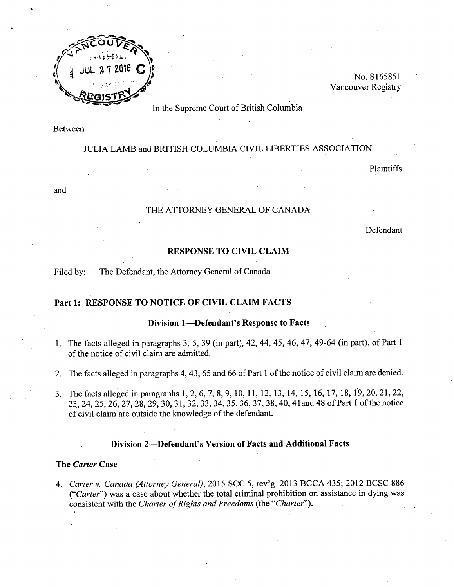

No. S165851 Vancouver Registry

In the Supreme Court of British Columbia

Between

# JULIA LAMB and BRITISH COLUMBIA CIVIL LIBERTIES ASSOCIATION

Plaintiffs

and

# THE ATTORNEY GENERAL OF CANADA

Defendant

# RESPONSE TO CIVIL CLAIM

Filed by: The Defendant, the Attorney General of Canada

### Part 1: RESPONSE TO NOTICE OF CIVIL CLAIM FACTS

#### Division 1-Defendant's Response to Facts

- 1. The facts alleged in paragraphs 3, 5, 39 (in part), 42, 44, 45, 46, 47, 49-64 (in part), of Part 1 of the notice of civil claim are admitted.
- 2. The facts alleged in paragraphs 4,43,65 and 66 of Part 1 of the notice of civil claim are denied.
- 3. The facts alleged in paragraphs 1,2,6,7,8,9,10,11,12,13,14,15,16,17,18,1'9,20,21,22, 2:),24,25,26,27,28,29,30,31,32,33,34,35,36,37,38, 40, 41and 48 of Part 1 of the notice of civil claim are outside the knowledge of the defendant.

### Division 2-Defendant's Version of Facts and Additional Facts

#### The *Carter* Case

*4. Carter* v. *Canada (Attorney General),* 2015 SCC 5, rev'g 2013 BCCA 435; 2012 BCSC 886 *("Carter")* was a case about whether the total criminal prohibition on assistance in dying was consistent with the *Charter of Rights and Freedoms* (the *."Charter").*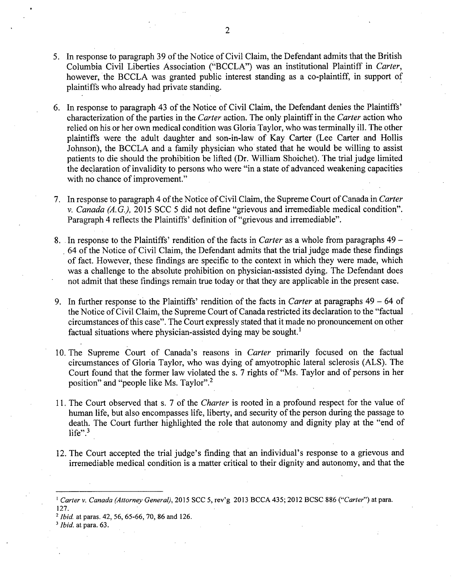- 5. In response to paragraph 39 of the Notice of Civil Claim, the Defendant admits that the British Columbia Civil Liberties Association ("BCCLA") was an institutional Plaintiff in *Carter,* however, the BCCLA was granted public interest standing as a co-plaintiff, in support of plaintiffs who already had private standing. .
- 6. In response to paragraph 43 of the Notice of Civil Claim, the Defendant denies the Plaintiffs' characterization of the parties in the *Carter* action. The only plaintiff in the *Carter* action who relied on his or her own medical condition was Gloria Taylor, who was terminally ill. The other plaintiffs were the adult daughter and son-in-law of Kay Carter (Lee Carter and Hollis Johnson), the BCCLA and a family physician who stated that he would be willing to assist patients to die should the prohibition be lifted (Dr. William Shoichet). The trial judge limited the declaration of invalidity to persons who were "in a state of advanced weakening capacities with no chance of improvement."
- 7. In response to paragraph 4 of the Notice of Civil Claim, the Supreme Court of Canada in *Carter* v. *Canada (A.*G.), 2015 SCC 5 did not define "grievous and irremediable medical condition". Paragraph 4 reflects the Plaintiffs' definition of "grievous and irremediable".
- 8. In response to the Plaintiffs' rendition of the facts in *Carter* as a whole from paragraphs 49- . 64 of the Notice of Civil Claim, the Defendant admits that the trial judge made these findings of fact. However, these findings are specific to the context in which they were made, which was a challenge to the absolute prohibition on physician-assisted dying. The Defendant does not admit that these findings remain true today or that they are applicable in the present case.
- 9. In further response to the Plaintiffs' rendition of the facts in *Carter* at paragraphs 49 64 of the Notice of Civil Claim, the Supreme Court of Canada restricted its declaration to the "factual circumstances of this case". The Court expressly stated that it made no pronouncement on other factual situations where physician-assisted dying may be sought.<sup>1</sup>
- 1O.The Supreme Court of Canada's reasons in *Carter* primarily focused on the factual circumstances of Gloria Taylor, who was dying of amyotrophic lateral sclerosis (ALS). The Court found that the former law violated the s. 7 rights of "Ms. Taylor and of persons in her position" and "people like Ms. Taylor".2
- 11. The Court observed that s. 7 of the *Charter* is rooted in a profound respect for the value of human life, but also encompasses life, liberty, and security of the person during the passage to death. The Court further highlighted the role that autonomy and dignity play at the "end of life". $3$
- 12. The Court accepted the trial judge's finding that an individual's response to a grievous and irremediable medical condition is a matter critical to their dignity and autonomy, and that the

*<sup>3</sup> Ibid.* at para. 63.

<sup>&</sup>lt;sup>1</sup> Carter v. Canada (Attorney General), 2015 SCC 5, rev'g 2013 BCCA 435; 2012 BCSC 886 ("Carter") at para. 127.

*<sup>2</sup> Ibid.* at paras. 42, 56, 65-66, 70,86 and 126.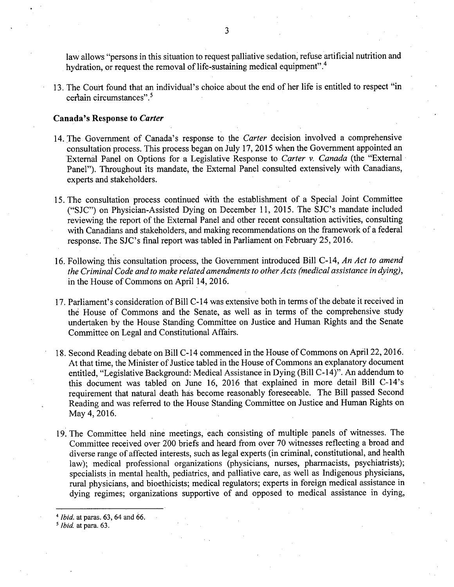law allows "persons in this situation to request palliative sedation; refuse artificial nutrition and hydration, or request the removal of life-sustaining medical equipment".<sup>4</sup>

13. The Court found that an individual's choice about the end of her life is entitled to respect "in certain circumstances". <sup>5</sup>

### Canada's Response to *Carter*

- 14. The Government of Canada's response to the *Carter* decision involved a comprehensive consultation process. This process began on July 17, 2015 when the Government appointed an External Panel on Options for a Legislative Response to *Carter* v. *Canada* (the "External" Panel"). Throughout its mandate, the External Panel consulted extensively with Canadians, experts and stakeholders.
- 15. The consultation process continued with the establishment of a Special Joint Committee ("SJC") on Physician-Assisted Dying on December 11, 2015. The SJC's mandate included reviewing the report of the External Panel and other recent consultation activities, consulting with Canadians and stakeholders, and making recommendations on the framework of a federal response. The SJC's final report was tabled in Parliament on February 25,2016.
- 16. Following this consultation process, the Government introduced Bill C-14, *An Act to amend the Criminal Code and to make related amendments to other Acts (medical assistance in dying),* in the House of Commons on April 14, 2016.
- 17. Parliament's consideration of Bill C-14 was extensive both in terms of the debate it received in the House of Commons and the Senate, as well as in terms of the comprehensive study undertaken by the House Standing Committee on Justice and Human Rights and the Senate Committee on Legal and Constitutional Affairs.
- 18. Second Reading debate on Bill C-14 commenced in the House of Commons on April 22, 2016. At that time, the Minister of Justice tabled in the House of Commons an explanatory document entitled, "Legislative Background: Medical Assistance in Dying (Bill C-14)". An addendum to this document was tabled on June 16, 2016 that explained in more detail Bill C-14's requirement that natural death has become reasonably foreseeable. The Bill passed Second Reading and was referred to the House Standing Committee on Justice and Human Rights on May 4, 2016.
- 19. The Committee held nine meetings, each consisting of multiple panels of witnesses. The Committee received over 200 briefs and heard from over 70 witnesses reflecting a broad and diverse range of affected interests, such as legal experts (in criminal, constitutional, and health law); medical professional organizations (physicians, nurses, pharmacists, psychiatrists); specialists in mental health, pediatrics, and palliative care, as well as Indigenous physicians, rural physicians, and bioethicists; medical regulators; experts in foreign medical assistance in dying regimes; organizations supportive of and opposed to medical assistance in dying,

*<sup>4</sup> Ibid.* at paras. 63, 64 and 66.

*<sup>5</sup> Ibid.* at para. 63.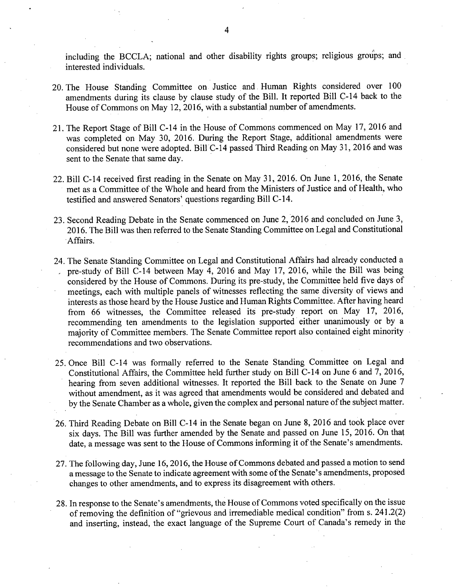including the BCCLA; national and other disability rights groups; religious groups; and interested individuals.

- 20. The House Standing Committee on Justice and. Human Rights considered over 100 amendments during its clause by clause study of the Bill. It reported Bill C-14 back to the House of Commons on May 12, 2016, with a substantial number of amendments.
- 21. The Report Stage of Bill C-14 in the House of Commons commenced on May 17, 2016 and was completed on May 30, 2016. During the Report Stage, additional amendments were considered but none were adopted. Bill C-14 passed Third Reading on May 31, 2016 and was sent to the Senate that same day.
- 22. Bill C-14 received first reading in the Senate on May 31, 2016. On June 1,2016, the Senate met as a Committee of the Whole and heard from the Ministers of Justice and of Health, who testified and answered Senators' questions regarding Bill C-14.
- 23. Second Reading Debate in the Senate commenced on June 2,2016 and concluded on June 3, 2016. The Bill was then referred to the Senate Standing Committee on Legal and Constitutional .Affairs.
- 24. The Senate Standing Committee on Legal and Constitutional Affairs had already conducted a pre-study of Bill C-14 between May 4, 2016 and May 17, 2016, while the Bill was being considered by the House of Commons. During its pre-study, the Committee held five days of meetings, each with multiple panels of witnesses reflecting the same diversity of views and interests as those heard by the House Justice and Human Rights Committee. After having heard from 66 witnesses, the Committee released its pre-study report on May 17, 2016, recommending ten amendments to the legislation supported either unanimously or by a majority of Committee members. The Senate Committee report also contained eight minority recommendations and two observations.
- 25. Once Bill C-14 was formally referred to the Senate Standing Committee on Legal and Constitutional Affairs, the Committee held further study on Bill C-14 on June 6 and 7, 2016, hearing from seven additional witnesses. It reported the Bill back to the Senate on June 7 without amendment, as it was agreed that amendments would be considered and debated and by the Senate Chamber as a whole, given the complex and personal nature of the subject matter.
- 26. Third Reading Debate on Bill C-14 in the Senate began on June 8, 2016 and took place over six days. The Bill was further amended by the Senate and passed on June 15, 2016. On that date, a message was sent to the House of Commons informing it of the Senate's amendments.
- 27. The following day, June 16,2016, the House of Commons debated and passed a motion to send a message to the Senate to indicate agreement with some of the Senate's amendments, proposed changes to other amendments, and to express its disagreement with others.
- 28. In response to the Senate's amendments, the House of Commons voted specifically on the issue of removing the definition of "grievous and irremediable medical condition" from s. 241.2(2) and inserting, instead, the exact language of the Supreme Court of Canada's remedy in the

4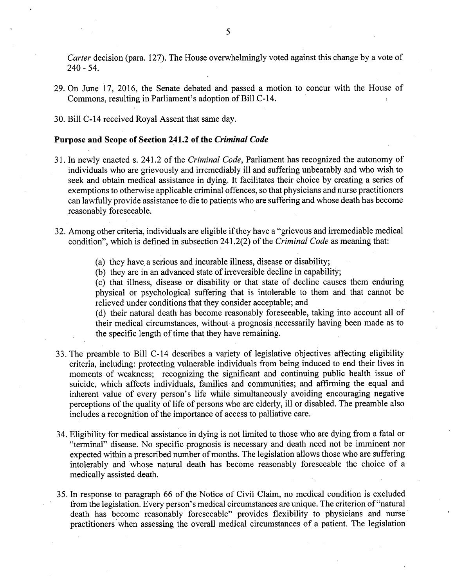*Carter* decision (para. 127). The House overwhelmingly voted against this change by a vote of 240 - 54.

29. On June 17,2016, the Senate debated and passed a motion to concur with the House of Commons, resulting in Parliament's adoption of Bill C-14.

30. Bill *C-14* received Royal Assent that same day.

### Purpose and Scope of Section 241.2 of the *Criminal Code*

- 31. In newly enacted s. 241.2 of the *Criminal Code,* Parliament has recognized the autonomy of individuals who are grievously and irremediably ill and suffering unbearably and who wish to seek and obtain medical assistance in dying. It facilitates their choice by creating a series of exemptions to otherwise applicable criminal offences, so that physicians and nurse practitioners can lawfully provide assistance to die to patients who are suffering and whose death has become reasonably foreseeable.
- 32. Among other criteria, individuals are eligible ifthey have a "grievous and irremediable medical condition", which is defined in subsection 241.2(2) of the *Criminal Code* as meaning that:
	- (a) they have a serious and incurable illness, disease or disability;
	- (b) they are in an advanced state of irreversible decline in capability;

(c) that illness, disease or disability or that state of decline causes them enduring physical or psychological suffering that is intolerable to them and that cannot be relieved under conditions that they consider acceptable; and

(d) their natural death has become reasonably foreseeable, taking into account all of their medical circumstances, without a prognosis necessarily having been made as to the specific length of time that they have remaining.

- 33. The preamble to Bill *C-14* describes a variety of legislative objectives affecting eligibility criteria, including: protecting vulnerable individuals from being induced to end their lives in moments of weakness; recognizing the significant and continuing public health issue of suicide, which affects individuals, families and communities; and affirming the equal and inherent value of every person's life while simultaneously avoiding encouraging negative perceptions of the quality of life of persons who are elderly, ill or disabled. The preamble also includes a recognition of the importance of access to palliative care.
- 34. Eligibility for medical assistance in dying is not limited to those who are dying from a fatal or "terminal" disease. No specific prognosis is necessary and death need not be imminent nor expected within a prescribed number of months. The legislation allows those who are suffering intolerably and whose natural death has become reasonably foreseeable the choice of a medically assisted death.
- 35. In response to paragraph 66 of the Notice of Civil Claim, no medical condition is excluded fromthe legislation. Every person's medical circumstances are unique. The criterion of "natural death has become reasonably foreseeable" provides flexibility to physicians and nurse. practitioners when assessing the overall medical circumstances of a patient. The legislation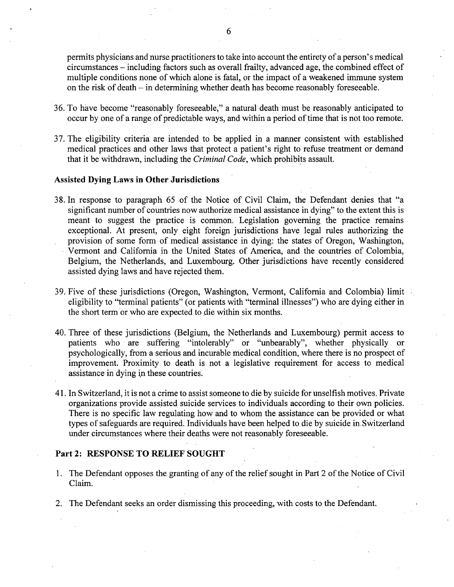permits physicians and nurse practitioners to take into account the entirety of a person's medical circumstances - including factors such as overall frailty, advanced age, the combined effect of multiple conditions none of which alone is fatal, or the impact of a weakened immune system on the risk of death - in determining whether death has become reasonably foreseeable.

- 36. To have become "reasonably foreseeable," a natural death must be reasonably anticipated to occur by one of a range of predictable ways, and within a period of time that is not too remote.
- 37. The eligibility criteria are intended to be applied in a manner consistent with established medical practices and other laws that protect a patient's right to refuse treatment or demand that it be withdrawn, including the *Criminal Code*, which prohibits assault.

## Assisted Dying Laws in Other Jurisdictions

- 38. In response to paragraph 65 of the Notice of Civil Claim, the Defendant denies that "a significant number of countries now authorize medical assistance in dying" to the extent this is meant to suggest the practice is common. Legislation governing the practice remains exceptional. At present, only eight foreign jurisdictions have legal rules authorizing the provision of some form of medical assistance in dying: the states of Oregon, Washington, Vermont and California in the United States of America, and the countries of Colombia, Belgium, the Netherlands, and Luxembourg. Other jurisdictions have recently considered assisted dying laws and have rejected them.
- 39. Five of these jurisdictions (Oregon, Washington, Vermont, California and Colombia) limit eligibility to "terminal patients" (or patients with "terminal illnesses") who are dying either in the short term or who are expected to die within six months.
- 40. Three of these jurisdictions (Belgium, the Netherlands and Luxembourg) permit access to patients who are suffering "intolerably" or "unbearably", whether physically or psychologically, from a serious and incurable medical condition, where there is no prospect of improvement. Proximity to death is not a legislative requirement for access to medical assistance in dying in these countries.
- 41. In Switzerland, it is not a crime to assist someone to die by suicide for unselfish motives. Private organizations provide assisted suicide services to individuals according to their own policies. There is no specific law regulating how and to whom the assistance can be provided or what types of safeguards are required. Individuals have been helped to die by suicide in.Switzerland under circumstances where their deaths were not reasonably foreseeable.

#### Part 2: RESPONSE TO RELIEF SOUGHT

- 1. The Defendant opposes the granting of any of the relief sought in Part 2 of the Notice of Civil Claim.
- 2. The Defendant seeks an order dismissing this proceeding, with costs to the Defendant.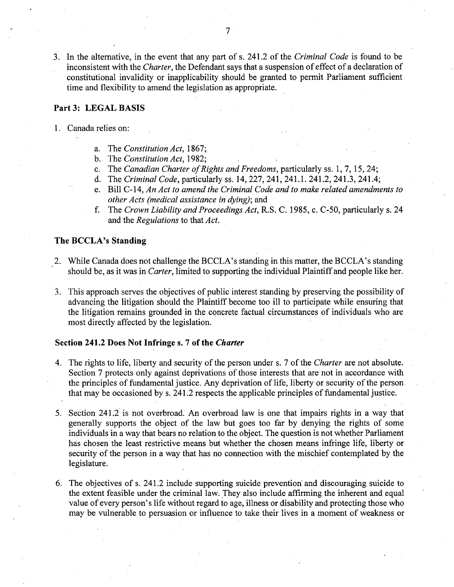3. In the alternative, in the event that any part of s. 241.2 of the *Criminal Code* is found to be inconsistent with the *Charter,* the Defendant says that a suspension of effect of a declaration of constitutional invalidity or inapplicability should be granted to permit Parliament sufficient time and flexibility to amend the legislation as appropriate.

# Part 3: LEGAL BASIS

- 1. Canada relies on:
	- a. The *Constitution Act, 1867;*
	- b. The *Constitution Act, 1982;*
	- c. The *Canadian Charter o/Rights and Freedoms,* particularly ss. 1,7,15,24;
	- d. The *Criminal Code,* particularly ss. 14,227,241,241.1. 241.2,241.3,241.4;
	- e. Bill C-14, *An Act to amend the Criminal Code and to make related amendments to other Acts (medical assistance in dying);* and
	- f. The *Crown Liability and Proceedings Act,* R.S. C. 1985, c. C-50, particularly s. 24 and the *Regulations* to that *Act.*

#### The BCCLA's Standing

- 2. While Canada does not challenge the BCCLA's standing in this matter, the BCCLA's standing should be, as it was in *Carter,* limited to supporting the individual Plaintiff and people like her.
- 3. This approach serves the objectives of public interest standing by preserving the possibility of advancing the litigation should the Plaintiff become too ill to participate while ensuring that the litigation remains grounded in the concrete factual circumstances of individuals who are most directly affected by the legislation.

# Section 241.2 Does Not Infringe s. 7 of the *Charter*

- 4. The rights to life, liberty and security of the person under s. 7 of the *Charter* are not absolute. Section 7 protects only against deprivations of those interests that are not in accordance with the principles of fundamental justice. Any deprivation of life, liberty or security of the person. that may be occasioned by s. 241.2 respects the applicable principles of fundamental justice.
- 5. Section 241.2 is not overbroad. An overbroad law is one that impairs rights in a way that generally supports the object of the law but goes too far by denying the rights of some individuals in a way that bears no relation to the object. The question is not whether Parliament has chosen the least restrictive means but whether the chosen means infringe life, liberty or security of the person in a way that has no connection with the mischief contemplated by the legislature.
- 6. The objectives of s. 241.2 include supporting suicide prevention' and discouraging suicide to the extent feasible under the criminal law. They also include affirming the inherent and equal value of every person's life without regard to age, illness or disability and protecting those who may be vulnerable to persuasion or influence to take their lives in a moment of weakness or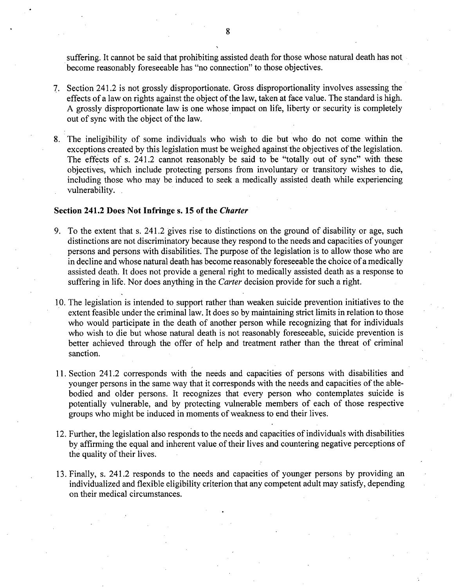suffering. It cannot be said that prohibiting assisted death for those whose natural death has not become reasonably foreseeable has "no connection" to those objectives.

- 7. Section 241.2 is not grossly disproportionate. Gross disproportionality involves assessing the effects of a law on rights against the object of the law, taken at face value. The standard is high. A grossly disproportionate law is one whose impact on life, liberty or security is completely out of sync with the object of the law.
- 8. The ineligibility of some individuals who wish to die but who do not come within the exceptions created by this legislation must be weighed against the objectives of the legislation. The effects of s. 241.2 cannot reasonably be said to be "totally out of sync" with these objectives, which include protecting persons from involuntary or transitory wishes to die, including those who may be induced to seek a medically assisted death while experiencing vulnerability.

### **Section 241.2 Does Not Infringe s. 15 of the** *Charter*

- 9. To the extent that s. 241.2 gives rise to distinctions on the ground of disability or age, such distinctions are not discriminatory because they respond to the needs and capacities of younger persons and persons with disabilities. The purpose of the legislation is to allow those who are in decline and whose natural death has become reasonably foreseeable the choice of a medically assisted death. It does not provide a general right to medically assisted death as a response to suffering in life. Nor does anything in the *Carter* decision provide for such a right.
- 10. The legislation is intended to support rather than weaken suicide prevention initiatives to the extent feasible under the criminal law. It does so by maintaining strict limits in relation to those who would participate in the death of another person while recognizing that for individuals who wish to die but whose natural death is not reasonably foreseeable, suicide prevention is better achieved through the offer of help and treatment rather than the threat of criminal sanction.
- 11. Section 241.2 corresponds with the needs and capacities of persons with disabilities and younger persons in the same way that it corresponds with the needs and capacities of the ablebodied and older persons. It recognizes that every person who contemplates suicide is potentially vulnerable, and by protecting vulnerable members of each of those respective groups who might be induced in moments of weakness to end their lives.
- 12. Further, the legislation also responds to the needs and capacities of individuals with disabilities by affirming the equal and inherent value of their lives and countering negative perceptions of the quality of their lives.
- 13. Finally, s. 241.2 responds to the needs arid capacities of younger persons by providing an individualized and flexible eligibility criterion that any competent adult may satisfy, depending on their medical circumstances.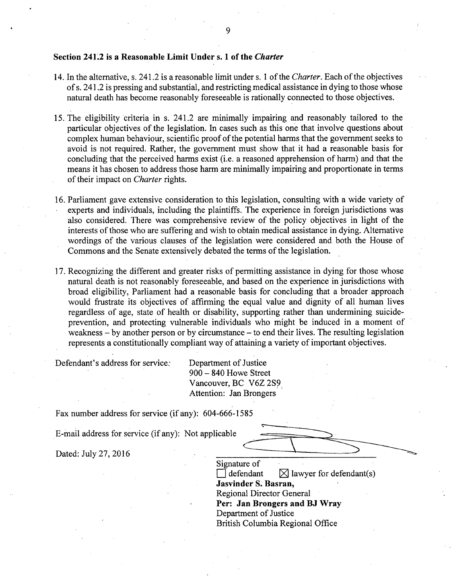#### Section 24L2 is a Reasonable Limit Under s. 1 of the *Charter*

- 14. In the alternative, s. 241.2 is a reasonable limit under s. 1 of the *Charter.* Each of the objectives of s. 241.2 is pressing and substantial, and restricting medical assistance in dying to those whose natural death has become reasonably foreseeable is rationally connected to those objectives.
- 15. The eligibility criteria in s. 241.2 are minimally impairing and reasonably tailored to the particular objectives of the legislation. In cases such as this one that involve questions about complex human behaviour, scientific proof of the potential harms that the government seeks to avoid is not required. Rather, the government must show that it had a reasonable basis for concluding that the perceived harms exist (i.e. a reasoned apprehension of harm) and that the means it has chosen to address those harm are minimally impairing and proportionate in terms of their impact on *Charter* rights.
- 16. Parliament gave extensive consideration to this legislation, consulting with a wide variety of experts and individuals, including the plaintiffs. The experience in foreign jurisdictions was also considered. There was comprehensive review of the policy objectives in light of the interests of those who are suffering and wish to obtain medical assistance in dying. Alternative wordings of the various clauses of the legislation were considered and both the House of Commons and the Senate extensively debated the terms of the legislation.
- 17. Recognizing the different and greater risks of permitting assistance in dying for those whose natural death is not reasonably foreseeable, and based on the experience in jurisdictions with broad eligibility, Parliament had a reasonable basis for concluding that a broader approach would frustrate its objectives of affirming the equal value and dignity of all human lives regardless of age, state of health or disability, supporting rather than undermining suicideprevention, and protecting vulnerable individuals who might be induced in a moment of weakness – by another person or by circumstance – to end their lives. The resulting legislation represents a constitutionally compliant way of attaining a variety of important objectives.

Defendant's address for service: Department of Justice

900 - 840 Howe Street Vancouver, BC V6Z 2S9 Attention: Jan Brongers

Fax number address for service (if any): 604-666-1585

Attention: Jan Brongers<br>
Fax number address for service (if any): 604-666-1585<br>
E-mail address for service (if any): Not applicable Dated: July 27, 2016  $\qquad \qquad \qquad$  $\overline{\phantom{a}}$ 

Signature of defendant  $\boxtimes$  lawyer for defendant(s) Jasvinder S. Basran, Regional Director General Per: Jan Brongers and BJ Wray Department of Justice British Columbia Regional Office